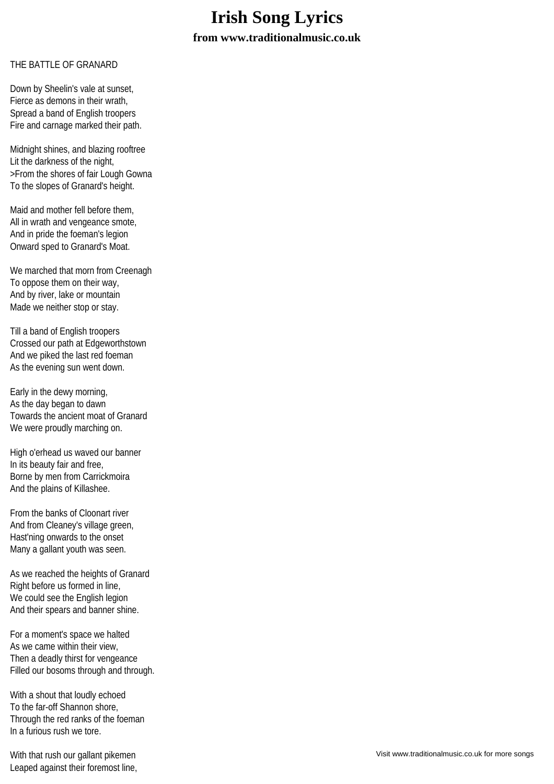## **Irish Song Lyrics from www.traditionalmusic.co.uk**

## THE BATTLE OF GRANARD

Down by Sheelin's vale at sunset, Fierce as demons in their wrath, Spread a band of English troopers Fire and carnage marked their path.

Midnight shines, and blazing rooftree Lit the darkness of the night, >From the shores of fair Lough Gowna To the slopes of Granard's height.

Maid and mother fell before them, All in wrath and vengeance smote, And in pride the foeman's legion Onward sped to Granard's Moat.

We marched that morn from Creenagh To oppose them on their way, And by river, lake or mountain Made we neither stop or stay.

Till a band of English troopers Crossed our path at Edgeworthstown And we piked the last red foeman As the evening sun went down.

Early in the dewy morning, As the day began to dawn Towards the ancient moat of Granard We were proudly marching on.

High o'erhead us waved our banner In its beauty fair and free, Borne by men from Carrickmoira And the plains of Killashee.

From the banks of Cloonart river And from Cleaney's village green, Hast'ning onwards to the onset Many a gallant youth was seen.

As we reached the heights of Granard Right before us formed in line, We could see the English legion And their spears and banner shine.

For a moment's space we halted As we came within their view, Then a deadly thirst for vengeance Filled our bosoms through and through.

With a shout that loudly echoed To the far-off Shannon shore, Through the red ranks of the foeman In a furious rush we tore.